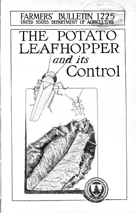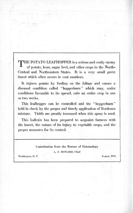THE POTATO LEAFHOPPER is a scrious and costly enemy of potato, bean, sugar beet, and other crops in the North-Central and Northeastern States. It is a very small green insect which often occurs in vast numbers.

It injures potato by feeding on the foliage and causes a diseased condition called "hopperburn" which may, under conditions favorable to its spread, ruin an entire crop in one or two weeks.

This leafhopper can be controlled and the "hopperburn" held in check by the proper and timely application of Bordeaux mixture. Yields are greatly increased when this spray is used.

This bulletin has been prepared to acquaint farmers with the insect, the nature of its injury to vegetable crops, and the proper measures for its control.

## Contribution from the Bureau of Entomology

L. O. HOWARD, Chief

Washington, D. C. August, 1921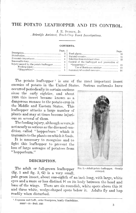# THE POTATO LEAFHOPPER AND ITS CONTROL.

J. E. DUDLEY, Jr.

*Scientific Assistant, Truck-Crop Insect Investigations.*

**CONTENTS** 

| Injury caused by the potato leafhopper | Page.<br>5<br>5 | Control of the leafhopper and provention of<br>Use of Bordeaux mixture  13<br>Summary of control measures 16 | Page. |  |
|----------------------------------------|-----------------|--------------------------------------------------------------------------------------------------------------|-------|--|
|                                        |                 |                                                                                                              |       |  |

The potato leafhopper ' is one of the most important insect enemies of potato in the United States. Serious outbreaks have

occurred periodically in certain sections since the early eighties, and about 1896 this insect became known as a dangerous menace to the potato crop in the Middle and Eastern States. This leafhopper attacks a large number of plants and may at times become injurious on several of them.

The feeding injury, although severe,is not nearly as serious as the diseased condition called "hopperburn" which it transmits to the plants on which it feeds.

It is necessary to recognize and to fight this leafhopper to prevent the loss of large acreages of potatoes from "hopperburn."

#### DESCRIPTION,

The adult or full-grown leafhopper (fig. 1 and fig. 2, G) is a very small,

pale green insect, about one-eighth of an inch long, with large, white eyes and a more or less distinct H on its body between the head and base of the wings. There are six roundish, white spots above this H and three white, wedge-shaped spots below it. Adults fly and hop readily when disturbed.

FIG. 1.-Adult potato leafhopper. Greatly enlarged.

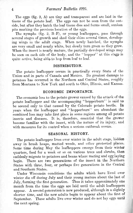The eggs (fig. 2, A) are tiny and transparent and are laid in the tissue of the potato leaf. The eggs can not be seen from the outside, but after they hatch the leaf tissue dies and forms small, sunken pits marking the previous location of the eggs.

The nymphs (fig. 2, B-F), or young leafhoppers, pass through several stages of growth and shed their skins several times, developing wings in the adult stage. When newly hatched, the nymphs are very small and nearly white, but slowly turn green as they grow. When the insect is nearly mature, the partially developed wings may be seen on each side of the body, and the "hopper" at this stage is quite active, being able to hop from leaf to leaf.

#### DISTRIBUTION.

The potato leafhopper occurs in practically every State of the Union and in parts of Canada and Mexico. Its greatest damage to potatoes has occurred in the Northern and Central States, roughly from Montana to New York and south to Ohio, Illinois, and Kansas.

#### ECONOMIC IMPORTANCE.

The economic loss to the potato grower caused by the attack of the potato leafhopper and the accompanying "hopperburn" is said to be second only to that caused by the Colorado potato beetle. In years when the leafhopper and "hopperburn" are abundant the combined loss may take first place in some regions among all potato insects and diseases. It is, therefore, essential that the grower become familiar with the insect, with the nature of its injury, and with measures for its control when a serious outbreak occurs.

#### SEASONAL HISTORY.

The potato leafhopper lives over winter in the adult stage, hidden away in brush heaps, matted weeds, and other protected places. Some time during May the leafhoppers emerge from their winter quarters, feed for a week or so on various trees and shrubs, then suddenly migrate to potatoes and beans where mating and egg laying begin. There are two generations of the insect in the Northern States with three, four, or perhaps five generations in the Central and Southern States.

Under Wisconsin conditions the adults which have lived over winter die off during July and their young mature about the last of July, forming the first generation. Thus it takes approximately one month from the time the eggs are laid until the adult leafhoppers appear. A second generation is now produced, although in a slightly shorter time, and the new adults begin to appear about the first of September. These adults live over winter and do not lay eggs until the next spring.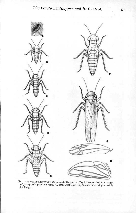

FIG. 2.—Stages in the growth of the potato leafhopper:  $A$  , Egg in tissue of leaf;  $B$ - $F$ , stages of young leafhopper or nymph; O, adult leafhopper; *H,* fore and hind wings of adult leafhopper.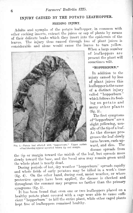# **INJURY CAUSED BY THE POTATO LEAFHOPPER.**

#### **FEEDING INJURY.**

Adults and nymphs of the potato leafhopper, in common with other sucking insects, extract the juices or sap of plants by means of their delicate beaks which they insert into the epidermis of the leaves. The injury thus caused through loss of plant juices is considerable and alone would cause the leaves to turn yellow.



FIG. 3.—Potato leaf affected with "hopperburn." Upper surface of leaf showing typical upcurlcd brown tip and margin.

When a large number of leafhoppcrs are present the plant will sometimes wilt.

#### **"HOPPERBURN."**

In addition to the injury caused by loss of plant juices this leafhopper isthe cause of a distinct injury called "hopperburn" which follows its feeding on potato and many other plants  $(fig. 3)$ .

The first symptoms of "hopperburn" are a slight yellowing, usually of the tip of a leaf. As the disease progresses the leaf slowly turns brown, curls upward, and dies. The disease spreads from

the tip or margin toward the midrib of the leaf, but spreads more slowly toward the base, and the basal area may remain green until the whole plant is nearly dead.

During periods of hot, dry weather "hopperburn" spreads rapidly and whole fields of early potatoes may be killed in a week's time  $(fig. 4)$ . On the other hand, during cool, moist weather, or where protective sprays have been applied, the disease is checked and throughout the summer may progress no farther than the primary symptoms  $(fig. 5)$ .

It has been found that even one or two leafhoppers placed on a healthy potato plant covered with a cage were able to cause suthcient "hopperburn" to kill the entire plant, while other caged plants kept free of leafhoppers remained healthy.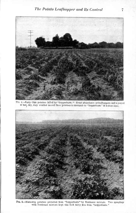

FIG. 4.—Early Ohio potatoes kllîod by "hopperbum. " Great abundance of leathoppcrs and a period of hot, dry, July weather caused these potatoes to succumb to "hopperbum" in ashort time.



**FIG.** 5.—Main-crop potatoes protected from "hopperburn" by Bordeaux mixture. Two sprayings with Bordeaux mixture kept this field fairly free from "hopperburn."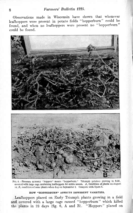### **s** *Farmers' Bulletin 1225.*

Observations made in Wisconsin have shown that whenever leafhoppers were present in potato fields "hopperburn" could be found, and when no leafhoppers were present no "hopperburn" could be found.



FIG. 6.—Presence of many "hoppers" means ''hopperburn." Triumph potatoes growing in field, covered with large cage containing leafhoppers tor entire season. *A,* Condition oi plants on August 14; *S,* condition of same plants when dug on September 2. Compare with figure **7.**

#### **HOW "HOPPERBURN" AFFECTS DIFFERENT VARIETIES.**

Leafhoppers placed on Early Triumph plants growing in a field and covered with a large cage caused "hopperburn" which killed the plants in 23 days (fig. 6, A and B). "Hoppers." placed on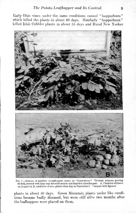Early Ohio vines under the same conditions caused "hopperburn" which killed the plants in about 40 days. Similarly "hopperburn" killed Irish Cobbler plants in about 55 days and Rural New Yorker



Fio. 7.—Absence of numbers of leafhoppers means no "hoppcrbum." Triumph potatoes growing in field, covered with large cage for entire season and kept free of leafhoppers. *A*, Condition of plants on August 14; *B,* condition ofsame plants when dug on September 2. Compare with figure 6.

plants in about 50 days. Green Mountain plants under like conditions became badly diseased, but were still alive two months after the leafhoppers were placed on them.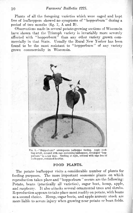Plants of all tho foregoing varieties which were caged and kept free of leafhoppers showed no symptoms of "hopperburn" during a period of two months (fig. 7, A and B).

Observations made in several potato-growing sections of Wisconsin have shown that the Triumph variety is invariably more severely affected with "hopperburn" than any other variety grown commercially in that State. Usually the Rural New Yorker has been found to be the most resistant to "hopperburn" of any variety grown commercially in Wisconsin.



FIG. 8.—"Hopperburn" accompanies leafhopper feeding. Apple seedling atleft, covered with cage containing leafhoppers, developed "hopperburn" in a few days. Seedling at right, covered with cage free of leafhoppers, remained healthy.

#### **FOOD PLANTS.**

The potato leafhopper visits a considerable number of plants for feeding purposes. The more important economic plants on which reproduction takes place and "hopperburn" occurs are the following: Potato, beans (practically all varieties), sugar beet, hemp, apple, and raspberry. It also attacks several ornamental trees and shrubs. Reproduction appears to take place most readily on potato, with beans as a second choice. Hemp, sugar beets, and apple nursery stock are more liable to severe injury when growing near potato or bean fields.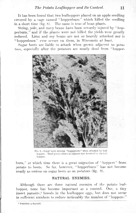It has been found that two leafhoppers placed on an apple seedling covered by a cage caused "hopperburn" which killed the seedling in a short time (fig. 8). The same is true of bean plants.

String, pole, and navy beans have been severely injured by "hopperburn," and if the plants were not killed the yields were greatly reduced. Lima and soy beans are not so heavily attacked nor is "hopperburn" ever severe on them, in Wisconsin at least.

Sugar beets are liable to attack when grown adjacent to potatoes, especially after the potatoes are nearly dead from "hopper-



FIG. 9.-Sugar beets develop "hopperburn" when attacked by leafhoppers. Dead potato plants in adjacent row deserted by Ihe leafhoppers.

burn," at which time there is a great migration of "hoppers" from potato to beets. So far, however, "hopperburn" has not become nearly as serious on sugar beets as on potatoes (fig. 9).

#### NATURAL ENEMIES.

Although there are three natural enemies of the potato leafhopper, none has become important as a control. One, a tiny insect parasite,<sup>2</sup> breeds in the leafhopper eggs, but does not oceur in sufficient numbers to reduce noticeably the number of "hoppers."

<sup>2</sup> Probably a dryinid.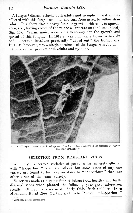#### 12 *Farmers' Bulletin 1225.*

A fungus *<sup>3</sup>* disease attacks both adults and nymphs. Leafhoppers affected with this fungus soon die and turn from green to yellowish in color. In a short time a heavy fungous growth, iridescent in appearance, i. e., having colors of the rainbow, appears on the insect's body (fig. 10). Warm, moist weather is necessary for the growth and spread of this fungus. In 1919 it was common all over Wisconsin and in certain localities practically "wiped out" the leafhoppers. In 1920, however, not a single specimen of the fungus was found.

Spiders often prey on both adults and nymphs.



FIG. 10.—Fungous disease to check leafhoppers. The lungus has a rainbow-like appearance after covering body of the insect.

#### SELECTION FROM RESISTANT VINES.

Not only are certain varieties of potatoes less severely affected with "hopperburn" than are others, but some vines of any one variety are found to be more resistant to "hopperburn" than are other vines of the same variety.

Selections made at digging time of tubers from healthy and badly diseased vines when planted the following year gave interesting results. Of five varieties used—Early Ohio, Irish Cobbler, Green Mountain, Rural New Yorker, and Late Puritan—"hopperburn"

 $8$  *Entomophthora sphaerosperma*.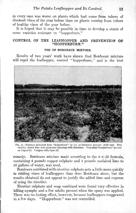in every case was worse on plants which had come from tubers of diseased vines of the year before than on plants coming from tubers of healthy vines of the year before.

It is hoped that it may be possible in time to develop a strain of some varieties resistant to "hopperburn."

#### **CONTROL OF THE LEAFHOPPER AND PREVENTION OF "HOPPERBURN."**

#### **USE OF BORDEAUX MIXTURE.**

Results of two years' work have shown that Bordeaux mixture will repel the leafhopper, control "hopperburn," and is the best



FIG. 11.—Potatoes protected from "hopperburn" by use of Bordeaux mixture: yield high. Five varieties shown here were given four sprayings with Bordeaux. Very little "hopperburn" present on August 23. Compare with figure 12.

remedy. Bordeaux mixture made according to the 4-4-50 formula, containing 4 pounds copper sulphate and 4 pounds unslaked lime to 50 gallons of water, was used.

Bordeaux combined with nicotine sulphate acts a little more quickly in ridding vines of leafhoppers than does Bordeaux alone, but the results obtained do not appear to justify the added time and expense of using the nicotine.

Nicotine sulphate and soap combined were found very effective in killing nymphs and a few adults present when the spray was applied. There was no lasting effect, however, because leafhoppers reappeared in a few days. "Hopperburn" was not controlled.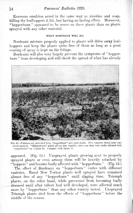Kerosene emulsion acted in the same way as nicotine and soap, killing the leafhoppers it hit, but having no lasting effect. Moreover, "hopperburn" appeared to be worse on these plants than on plants sprayed with any other material.

#### WHAT BORDEAUX WILL DO.

Bordeaux mixture properly applied to plants will drive away leafhoppers and keep the plants quite free of them as long as a good coating of spray is kept on the foliage.

Bordeaux will also very largely prevent the symptoms of "hopperburn" from developing and will check the spread of what has already



Fia. 12.—Potatoes not protected from "hopperburn" give poor yields. Five varieties shown here were never sprayed. "Hopperburn" killed all but late varieties, and even they were badly affected with "hopperburn" on August 23. Compare with figure 11.

appeared. (Fig. 11.) Unspraycd plants growing next to properly sprayed plants or even among them will be heavily attacked by  $\widehat{N}$  hoppers" and become badly affected with "hopperburn." (Fig. 12.)

The effect of Bordeaux on "hopperburn" varies with different varieties. Rural New Yorker plants well sprayed have remained almost free of any "hopperburn" until digging time. Triumph plants, on the other hand, while prevented from becoming badly diseased until after tubers had well developed, were affected much more by "hopperburn" than any other variety tested. Unsprayed Triumph plants died from the effects of "hopperburn" before the middle of the season.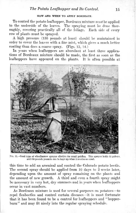#### HOW AND WHEN TO APPLY BORDEAUX.

To control the potato leafhopper, Bordeaux mixture *must* be applied to the underside of the leaves. The spraying must be done thoroughly, covering practically all of the foliage. Each side of every row of plants must be sprayed.

A high pressure (150 pounds at least) should be maintained in order to cover the leaves with a fine mist, which gives a much better coating than does a coarse spray. (Figs. 13, 14.)

In years when leafhoppers are abundant at least three applications of Bordeaux mixture should bo made, the first as soon as the leafhoppers have appeared on the plants. It is often possible at



Fio. 13.—Good type of wheelbarrow sprayer effective for small patches. This sprayer holds 12 gallons, and 150 pounds pressure can be kept up when 2 nozzles are used.

this time to add an arsenical and control the Colorado potato beetle. The second spray should be applied from 10 days to 2 weeks later, depending upon the amount of spray remaining on the plants and the amount of new growth. A third and even a fourth spray might be necessary in very hot, dry summers and in years when leafhoppers occur in vast numbers.

As Bordeaux mixture is used for several purposes on potatoes—to repel fleabeetles and control certain diseases—it is most fortunate that it has been found to be a control for leafhoppers and "hopperburn" and may fit nicely into the regular spraying schedule.